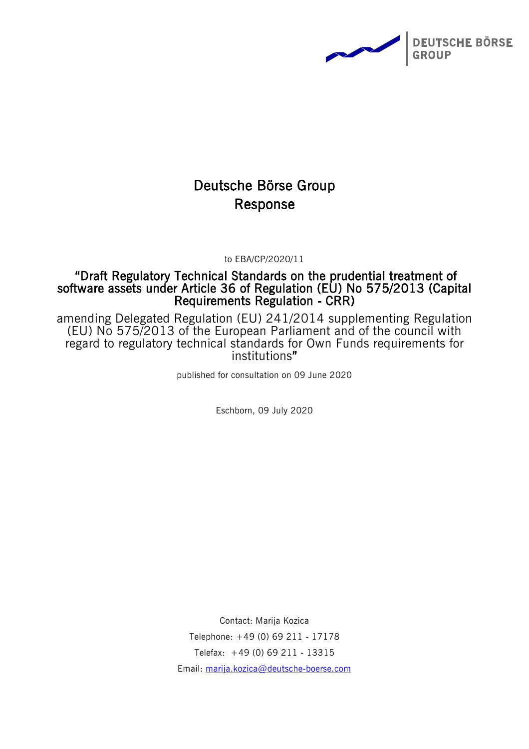

# Deutsche Börse Group Response

to EBA/CP/2020/11

## "Draft Regulatory Technical Standards on the prudential treatment of software assets under Article 36 of Regulation (EU) No 575/2013 (Capital Requirements Regulation ‐ CRR)

amending Delegated Regulation (EU) 241/2014 supplementing Regulation (EU) No 575/2013 of the European Parliament and of the council with regard to regulatory technical standards for Own Funds requirements for institutions"

published for consultation on 09 June 2020

Eschborn, 09 July 2020

Contact: Marija Kozica Telephone: +49 (0) 69 211 - 17178 Telefax: +49 (0) 69 211 - 13315 Email: [marija.kozica@deutsche-boerse.com](mailto:marija.kozica@deutsche-boerse.com)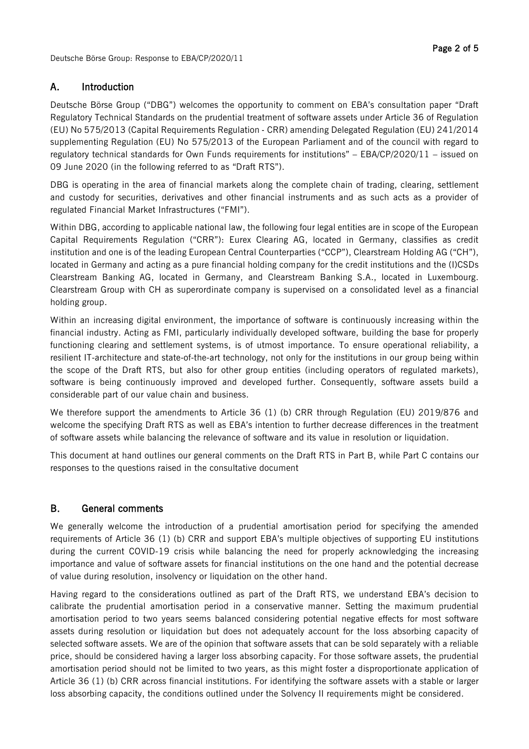## Page 2 of 5

### A. Introduction

Deutsche Börse Group ("DBG") welcomes the opportunity to comment on EBA's consultation paper "Draft Regulatory Technical Standards on the prudential treatment of software assets under Article 36 of Regulation (EU) No 575/2013 (Capital Requirements Regulation ‐ CRR) amending Delegated Regulation (EU) 241/2014 supplementing Regulation (EU) No 575/2013 of the European Parliament and of the council with regard to regulatory technical standards for Own Funds requirements for institutions" – EBA/CP/2020/11 – issued on 09 June 2020 (in the following referred to as "Draft RTS").

DBG is operating in the area of financial markets along the complete chain of trading, clearing, settlement and custody for securities, derivatives and other financial instruments and as such acts as a provider of regulated Financial Market Infrastructures ("FMI").

Within DBG, according to applicable national law, the following four legal entities are in scope of the European Capital Requirements Regulation ("CRR"): Eurex Clearing AG, located in Germany, classifies as credit institution and one is of the leading European Central Counterparties ("CCP"), Clearstream Holding AG ("CH"), located in Germany and acting as a pure financial holding company for the credit institutions and the (I)CSDs Clearstream Banking AG, located in Germany, and Clearstream Banking S.A., located in Luxembourg. Clearstream Group with CH as superordinate company is supervised on a consolidated level as a financial holding group.

Within an increasing digital environment, the importance of software is continuously increasing within the financial industry. Acting as FMI, particularly individually developed software, building the base for properly functioning clearing and settlement systems, is of utmost importance. To ensure operational reliability, a resilient IT-architecture and state-of-the-art technology, not only for the institutions in our group being within the scope of the Draft RTS, but also for other group entities (including operators of regulated markets), software is being continuously improved and developed further. Consequently, software assets build a considerable part of our value chain and business.

We therefore support the amendments to Article 36 (1) (b) CRR through Regulation (EU) 2019/876 and welcome the specifying Draft RTS as well as EBA's intention to further decrease differences in the treatment of software assets while balancing the relevance of software and its value in resolution or liquidation.

This document at hand outlines our general comments on the Draft RTS in Part B, while Part C contains our responses to the questions raised in the consultative document

### B. General comments

We generally welcome the introduction of a prudential amortisation period for specifying the amended requirements of Article 36 (1) (b) CRR and support EBA's multiple objectives of supporting EU institutions during the current COVID-19 crisis while balancing the need for properly acknowledging the increasing importance and value of software assets for financial institutions on the one hand and the potential decrease of value during resolution, insolvency or liquidation on the other hand.

Having regard to the considerations outlined as part of the Draft RTS, we understand EBA's decision to calibrate the prudential amortisation period in a conservative manner. Setting the maximum prudential amortisation period to two years seems balanced considering potential negative effects for most software assets during resolution or liquidation but does not adequately account for the loss absorbing capacity of selected software assets. We are of the opinion that software assets that can be sold separately with a reliable price, should be considered having a larger loss absorbing capacity. For those software assets, the prudential amortisation period should not be limited to two years, as this might foster a disproportionate application of Article 36 (1) (b) CRR across financial institutions. For identifying the software assets with a stable or larger loss absorbing capacity, the conditions outlined under the Solvency II requirements might be considered.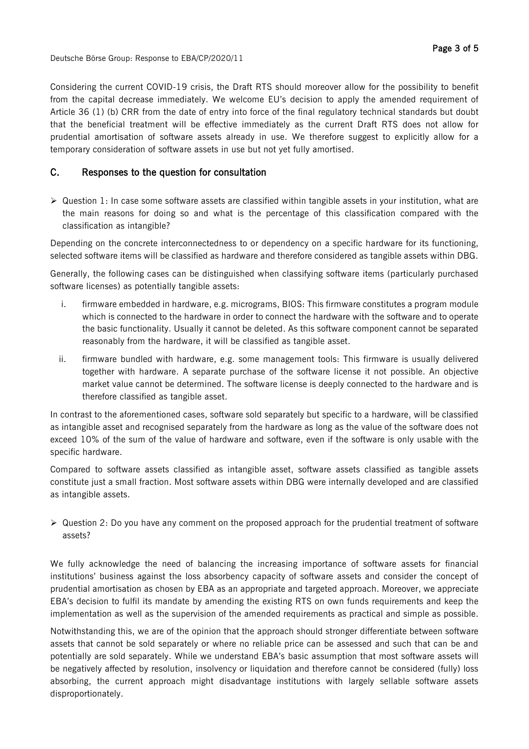Deutsche Börse Group: Response to EBA/CP/2020/11

Considering the current COVID-19 crisis, the Draft RTS should moreover allow for the possibility to benefit from the capital decrease immediately. We welcome EU's decision to apply the amended requirement of Article 36 (1) (b) CRR from the date of entry into force of the final regulatory technical standards but doubt that the beneficial treatment will be effective immediately as the current Draft RTS does not allow for prudential amortisation of software assets already in use. We therefore suggest to explicitly allow for a temporary consideration of software assets in use but not yet fully amortised.

#### C. Responses to the question for consultation

 $\triangleright$  Question 1: In case some software assets are classified within tangible assets in your institution, what are the main reasons for doing so and what is the percentage of this classification compared with the classification as intangible?

Depending on the concrete interconnectedness to or dependency on a specific hardware for its functioning, selected software items will be classified as hardware and therefore considered as tangible assets within DBG.

Generally, the following cases can be distinguished when classifying software items (particularly purchased software licenses) as potentially tangible assets:

- i. firmware embedded in hardware, e.g. micrograms, BIOS: This firmware constitutes a program module which is connected to the hardware in order to connect the hardware with the software and to operate the basic functionality. Usually it cannot be deleted. As this software component cannot be separated reasonably from the hardware, it will be classified as tangible asset.
- ii. firmware bundled with hardware, e.g. some management tools: This firmware is usually delivered together with hardware. A separate purchase of the software license it not possible. An objective market value cannot be determined. The software license is deeply connected to the hardware and is therefore classified as tangible asset.

In contrast to the aforementioned cases, software sold separately but specific to a hardware, will be classified as intangible asset and recognised separately from the hardware as long as the value of the software does not exceed 10% of the sum of the value of hardware and software, even if the software is only usable with the specific hardware.

Compared to software assets classified as intangible asset, software assets classified as tangible assets constitute just a small fraction. Most software assets within DBG were internally developed and are classified as intangible assets.

 $\triangleright$  Question 2: Do you have any comment on the proposed approach for the prudential treatment of software assets?

We fully acknowledge the need of balancing the increasing importance of software assets for financial institutions' business against the loss absorbency capacity of software assets and consider the concept of prudential amortisation as chosen by EBA as an appropriate and targeted approach. Moreover, we appreciate EBA's decision to fulfil its mandate by amending the existing RTS on own funds requirements and keep the implementation as well as the supervision of the amended requirements as practical and simple as possible.

Notwithstanding this, we are of the opinion that the approach should stronger differentiate between software assets that cannot be sold separately or where no reliable price can be assessed and such that can be and potentially are sold separately. While we understand EBA's basic assumption that most software assets will be negatively affected by resolution, insolvency or liquidation and therefore cannot be considered (fully) loss absorbing, the current approach might disadvantage institutions with largely sellable software assets disproportionately.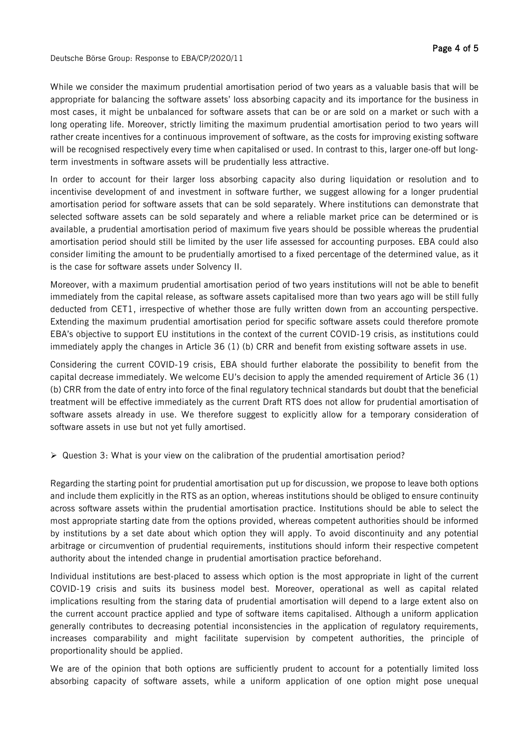While we consider the maximum prudential amortisation period of two years as a valuable basis that will be appropriate for balancing the software assets' loss absorbing capacity and its importance for the business in most cases, it might be unbalanced for software assets that can be or are sold on a market or such with a long operating life. Moreover, strictly limiting the maximum prudential amortisation period to two years will rather create incentives for a continuous improvement of software, as the costs for improving existing software will be recognised respectively every time when capitalised or used. In contrast to this, larger one-off but longterm investments in software assets will be prudentially less attractive.

In order to account for their larger loss absorbing capacity also during liquidation or resolution and to incentivise development of and investment in software further, we suggest allowing for a longer prudential amortisation period for software assets that can be sold separately. Where institutions can demonstrate that selected software assets can be sold separately and where a reliable market price can be determined or is available, a prudential amortisation period of maximum five years should be possible whereas the prudential amortisation period should still be limited by the user life assessed for accounting purposes. EBA could also consider limiting the amount to be prudentially amortised to a fixed percentage of the determined value, as it is the case for software assets under Solvency II.

Moreover, with a maximum prudential amortisation period of two years institutions will not be able to benefit immediately from the capital release, as software assets capitalised more than two years ago will be still fully deducted from CET1, irrespective of whether those are fully written down from an accounting perspective. Extending the maximum prudential amortisation period for specific software assets could therefore promote EBA's objective to support EU institutions in the context of the current COVID-19 crisis, as institutions could immediately apply the changes in Article 36 (1) (b) CRR and benefit from existing software assets in use.

Considering the current COVID-19 crisis, EBA should further elaborate the possibility to benefit from the capital decrease immediately. We welcome EU's decision to apply the amended requirement of Article 36 (1) (b) CRR from the date of entry into force of the final regulatory technical standards but doubt that the beneficial treatment will be effective immediately as the current Draft RTS does not allow for prudential amortisation of software assets already in use. We therefore suggest to explicitly allow for a temporary consideration of software assets in use but not yet fully amortised.

 $\triangleright$  Question 3: What is your view on the calibration of the prudential amortisation period?

Regarding the starting point for prudential amortisation put up for discussion, we propose to leave both options and include them explicitly in the RTS as an option, whereas institutions should be obliged to ensure continuity across software assets within the prudential amortisation practice. Institutions should be able to select the most appropriate starting date from the options provided, whereas competent authorities should be informed by institutions by a set date about which option they will apply. To avoid discontinuity and any potential arbitrage or circumvention of prudential requirements, institutions should inform their respective competent authority about the intended change in prudential amortisation practice beforehand.

Individual institutions are best-placed to assess which option is the most appropriate in light of the current COVID-19 crisis and suits its business model best. Moreover, operational as well as capital related implications resulting from the staring data of prudential amortisation will depend to a large extent also on the current account practice applied and type of software items capitalised. Although a uniform application generally contributes to decreasing potential inconsistencies in the application of regulatory requirements, increases comparability and might facilitate supervision by competent authorities, the principle of proportionality should be applied.

We are of the opinion that both options are sufficiently prudent to account for a potentially limited loss absorbing capacity of software assets, while a uniform application of one option might pose unequal